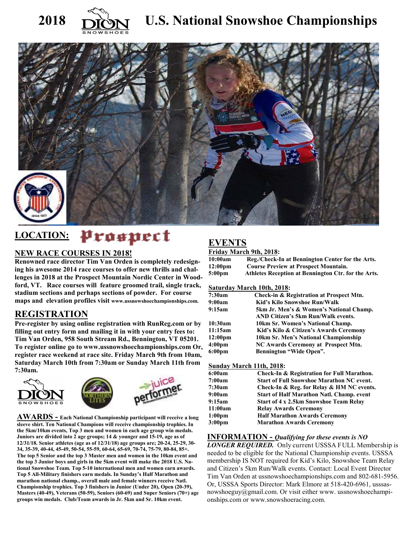



# 2018 **DR**<sup>S</sup>N U.S. National Snowshoe Championships



# LOCATION: *Prospect*

### **NEW RACE COURSES IN 2018!**

**Renowned race director Tim Van Orden is completely redesigning his awesome 2014 race courses to offer new thrills and challenges in 2018 at the Prospect Mountain Nordic Center in Woodford, VT. Race courses will feature groomed trail, single track, stadium sections and perhaps sections of powder. For course maps and elevation profiles visit www.ussnowshoechampionships.com.** 

# **REGISTRATION**

**Pre-register by using online registration with RunReg.com or by filling out entry form and mailing it in with your entry fees to: Tim Van Orden, 958 South Stream Rd., Bennington, VT 05201. To register online go to www.ussnowshoechampionships.com Or, register race weekend at race site. Friday March 9th from 10am, Saturday March 10th from 7:30am or Sunday March 11th from 7:30am.** 



**AWARDS - Each National Championship participant will receive a long sleeve shirt. Ten National Champions will receive championship trophies. In the 5km/10km events, Top 3 men and women in each age group win medals. Juniors are divided into 2 age groups; 14 & younger and 15-19, age as of 12/31/18. Senior athletes (age as of 12/31/18) age groups are; 20-24, 25-29, 30- 34, 35-39, 40-44, 45-49, 50-54, 55-59, 60-64, 65-69, 70-74, 75-79, 80-84, 85+. The top 5 Senior and the top 3 Master men and women in the 10km event and the top 3 Junior boys and girls in the 5km event will make the 2018 U.S. National Snowshoe Team. Top 5-10 international men and women earn awards. Top 5 All-Military finishers earn medals. In Sunday's Half Marathon and marathon national champ., overall male and female winners receive Natl. Championship trophies. Top 3 finishers in Junior (Under 20), Open (20-39), Masters (40-49), Veterans (50-59), Seniors (60-69) and Super Seniors (70+) age groups win medals. Club/Team awards in Jr. 5km and Sr. 10km event.** 

# **EVENTS**

#### **Friday March 9th, 2018:**

| 10:00am           | Reg./Check-In at Bennington Center for the Arts.    |
|-------------------|-----------------------------------------------------|
| $12:00 \text{pm}$ | <b>Course Preview at Prospect Mountain.</b>         |
| $5:00 \text{pm}$  | Athletes Reception at Bennington Ctr. for the Arts. |

#### **Saturday March 10th, 2018:**

| 7:30am              | Check-in & Registration at Prospect Mtn. |
|---------------------|------------------------------------------|
| 9:00am              | Kid's Kilo Snowshoe Run/Walk             |
| 9:15am              | 5km Jr. Men's & Women's National Champ.  |
|                     | AND Citizen's 5km Run/Walk events.       |
| 10:30am             | 10km Sr. Women's National Champ.         |
| 11:15am             | Kid's Kilo & Citizen's Awards Ceremony   |
| 12:00 <sub>pm</sub> | 10km Sr. Men's National Championship     |
| 4:00 <sub>pm</sub>  | NC Awards Ceremony at Prospect Mtn.      |
| $6:00 \text{pm}$    | <b>Bennington "Wide Open".</b>           |

#### **Sunday March 11th, 2018:**

| 6:00am             | Check-In & Registration for Full Marathon.       |
|--------------------|--------------------------------------------------|
| 7:00am             | <b>Start of Full Snowshoe Marathon NC event.</b> |
| 7:30am             | Check-In & Reg. for Relay & HM NC events.        |
| 9:00am             | <b>Start of Half Marathon Natl. Champ. event</b> |
| 9:15am             | <b>Start of 4 x 2.5km Snowshoe Team Relay</b>    |
| 11:00am            | <b>Relay Awards Ceremony</b>                     |
| 1:00 <sub>pm</sub> | <b>Half Marathon Awards Ceremony</b>             |
| 3:00 <sub>pm</sub> | <b>Marathon Awards Ceremony</b>                  |

#### **INFORMATION -** *Qualifying for these events is NO*

*LONGER REQUIRED.* Only current USSSA FULL Membership is needed to be eligible for the National Championship events. USSSA membership IS NOT required for Kid's Kilo, Snowshoe Team Relay and Citizen's 5km Run/Walk events. Contact: Local Event Director Tim Van Orden at ussnowshoechampionships.com and 802-681-5956. Or, USSSA Sports Director: Mark Elmore at 518-420-6961, usssasnowshoeguy@gmail.com. Or visit either www. ussnowshoechampionships.com or www.snowshoeracing.com.